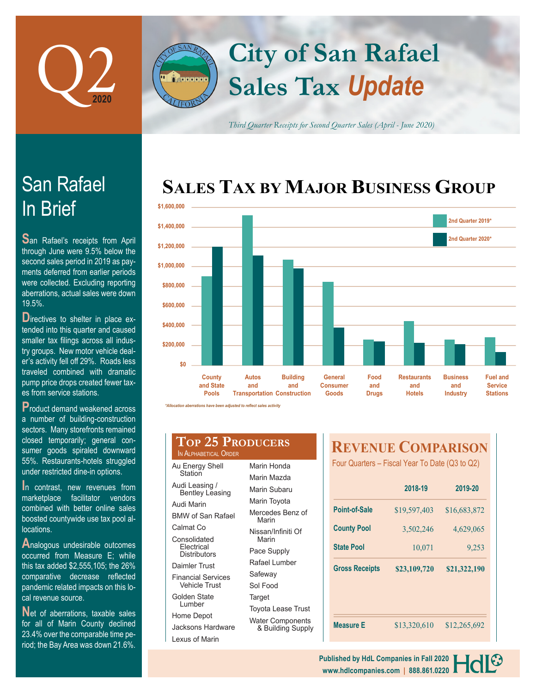



*Third Quarter Receipts for Second Quarter Sales (April - June 2020)*

# **SALES TAX BY MAJOR BUSINESS GROUP**



*\*Allocation aberrations have been adjusted to reflect sales activity*

### **Top 25 Producers** IN ALPHABETICAL ORDER

| Au Energy Shell<br>Station                        | Marin Honda<br>Marin Mazda |  |  |
|---------------------------------------------------|----------------------------|--|--|
| Audi Leasing /<br><b>Bentley Leasing</b>          | Marin Subaru               |  |  |
| Audi Marin                                        | Marin Toyota               |  |  |
| <b>BMW of San Rafael</b>                          | Mercedes Be<br>Marin       |  |  |
| Calmat Co                                         | Nissan/Infiniti            |  |  |
| Consolidated                                      | Marin                      |  |  |
| Electrical<br>Distributors                        | Pace Supply                |  |  |
| Daimler Trust                                     | Rafael Lumb                |  |  |
| <b>Financial Services</b><br><b>Vehicle Trust</b> | Safeway                    |  |  |
|                                                   | Sol Food                   |  |  |
| Golden State<br>Lumber                            | Target                     |  |  |
|                                                   | Toyota Lease               |  |  |
| Home Depot                                        | <b>Water Compo</b>         |  |  |
| Jacksons Hardware                                 | & Building                 |  |  |

Lexus of Marin

Marin Mazda Marin Subaru Marin Toyota Mercedes Benz of Marin lissan/Infiniti Of Marin ace Supply Rafael Lumber Safeway Sol Food **arget** oyota Lease Trust Water Components

& Building Supply

## **REVENUE COMPARISON**

Four Quarters – Fiscal Year To Date (Q3 to Q2)

|                       | 2018-19      | 2019-20      |  |
|-----------------------|--------------|--------------|--|
| Point-of-Sale         | \$19,597,403 | \$16,683,872 |  |
| <b>County Pool</b>    | 3,502,246    | 4,629,065    |  |
| <b>State Pool</b>     | 10,071       | 9,253        |  |
| <b>Gross Receipts</b> | \$23,109,720 | \$21,322,190 |  |
|                       |              |              |  |
|                       |              |              |  |
| <b>Measure E</b>      | \$13,320,610 | \$12,265,692 |  |

# In Brief San Rafael

**S**an Rafael's receipts from April through June were 9.5% below the second sales period in 2019 as payments deferred from earlier periods were collected. Excluding reporting aberrations, actual sales were down 19.5%.

**D**irectives to shelter in place extended into this quarter and caused smaller tax filings across all industry groups. New motor vehicle dealer's activity fell off 29%. Roads less traveled combined with dramatic pump price drops created fewer taxes from service stations.

**P**roduct demand weakened across a number of building-construction sectors. Many storefronts remained closed temporarily; general consumer goods spiraled downward 55%. Restaurants-hotels struggled under restricted dine-in options.

**I**n contrast, new revenues from marketplace facilitator vendors combined with better online sales boosted countywide use tax pool allocations.

**A**nalogous undesirable outcomes occurred from Measure E; while this tax added \$2,555,105; the 26% comparative decrease reflected pandemic related impacts on this local revenue source.

**N**et of aberrations, taxable sales for all of Marin County declined 23.4% over the comparable time period; the Bay Area was down 21.6%.

> **www.hdlcompanies.com | 888.861.0220 Published by HdL Companies in Fall 2020**